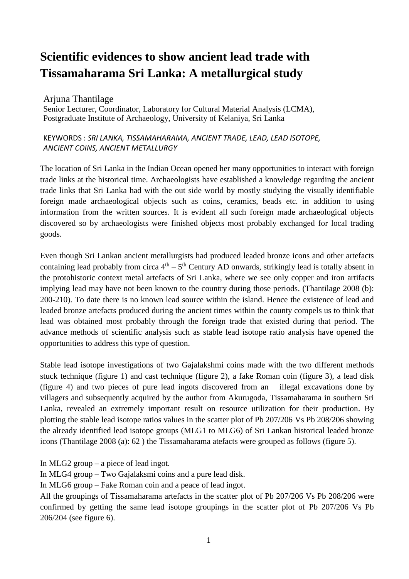# **Scientific evidences to show ancient lead trade with Tissamaharama Sri Lanka: A metallurgical study**

### Arjuna Thantilage

Senior Lecturer, Coordinator, Laboratory for Cultural Material Analysis (LCMA), Postgraduate Institute of Archaeology, University of Kelaniya, Sri Lanka

#### KEYWORDS : *SRI LANKA, TISSAMAHARAMA, ANCIENT TRADE, LEAD, LEAD ISOTOPE, ANCIENT COINS, ANCIENT METALLURGY*

The location of Sri Lanka in the Indian Ocean opened her many opportunities to interact with foreign trade links at the historical time. Archaeologists have established a knowledge regarding the ancient trade links that Sri Lanka had with the out side world by mostly studying the visually identifiable foreign made archaeological objects such as coins, ceramics, beads etc. in addition to using information from the written sources. It is evident all such foreign made archaeological objects discovered so by archaeologists were finished objects most probably exchanged for local trading goods.

Even though Sri Lankan ancient metallurgists had produced leaded bronze icons and other artefacts containing lead probably from circa  $4<sup>th</sup> - 5<sup>th</sup>$  Century AD onwards, strikingly lead is totally absent in the protohistoric context metal artefacts of Sri Lanka, where we see only copper and iron artifacts implying lead may have not been known to the country during those periods. (Thantilage 2008 (b): 200-210). To date there is no known lead source within the island. Hence the existence of lead and leaded bronze artefacts produced during the ancient times within the county compels us to think that lead was obtained most probably through the foreign trade that existed during that period. The advance methods of scientific analysis such as stable lead isotope ratio analysis have opened the opportunities to address this type of question.

Stable lead isotope investigations of two Gajalakshmi coins made with the two different methods stuck technique (figure 1) and cast technique (figure 2), a fake Roman coin (figure 3), a lead disk (figure 4) and two pieces of pure lead ingots discovered from an illegal excavations done by villagers and subsequently acquired by the author from Akurugoda, Tissamaharama in southern Sri Lanka, revealed an extremely important result on resource utilization for their production. By plotting the stable lead isotope ratios values in the scatter plot of Pb 207/206 Vs Pb 208/206 showing the already identified lead isotope groups (MLG1 to MLG6) of Sri Lankan historical leaded bronze icons (Thantilage 2008 (a): 62 ) the Tissamaharama atefacts were grouped as follows (figure 5).

In MLG2 group – a piece of lead ingot.

In MLG4 group – Two Gajalaksmi coins and a pure lead disk.

In MLG6 group – Fake Roman coin and a peace of lead ingot.

All the groupings of Tissamaharama artefacts in the scatter plot of Pb 207/206 Vs Pb 208/206 were confirmed by getting the same lead isotope groupings in the scatter plot of Pb 207/206 Vs Pb 206/204 (see figure 6).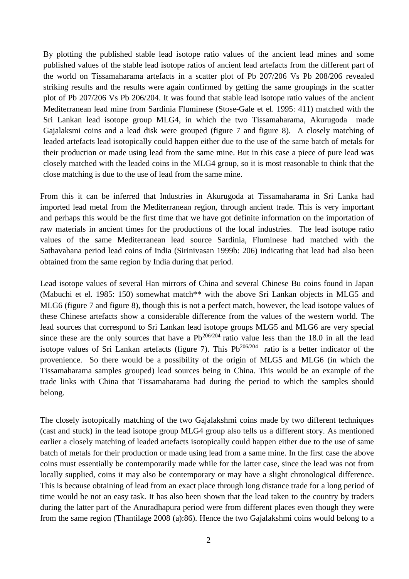By plotting the published stable lead isotope ratio values of the ancient lead mines and some published values of the stable lead isotope ratios of ancient lead artefacts from the different part of the world on Tissamaharama artefacts in a scatter plot of Pb 207/206 Vs Pb 208/206 revealed striking results and the results were again confirmed by getting the same groupings in the scatter plot of Pb 207/206 Vs Pb 206/204. It was found that stable lead isotope ratio values of the ancient Mediterranean lead mine from Sardinia Fluminese (Stose-Gale et el. 1995: 411) matched with the Sri Lankan lead isotope group MLG4, in which the two Tissamaharama, Akurugoda made Gajalaksmi coins and a lead disk were grouped (figure 7 and figure 8). A closely matching of leaded artefacts lead isotopically could happen either due to the use of the same batch of metals for their production or made using lead from the same mine. But in this case a piece of pure lead was closely matched with the leaded coins in the MLG4 group, so it is most reasonable to think that the close matching is due to the use of lead from the same mine.

From this it can be inferred that Industries in Akurugoda at Tissamaharama in Sri Lanka had imported lead metal from the Mediterranean region, through ancient trade. This is very important and perhaps this would be the first time that we have got definite information on the importation of raw materials in ancient times for the productions of the local industries. The lead isotope ratio values of the same Mediterranean lead source Sardinia, Fluminese had matched with the Sathavahana period lead coins of India (Sirinivasan 1999b: 206) indicating that lead had also been obtained from the same region by India during that period.

Lead isotope values of several Han mirrors of China and several Chinese Bu coins found in Japan (Mabuchi et el. 1985: 150) somewhat match\*\* with the above Sri Lankan objects in MLG5 and MLG6 (figure 7 and figure 8), though this is not a perfect match, however, the lead isotope values of these Chinese artefacts show a considerable difference from the values of the western world. The lead sources that correspond to Sri Lankan lead isotope groups MLG5 and MLG6 are very special since these are the only sources that have a  $Pb^{206/204}$  ratio value less than the 18.0 in all the lead isotope values of Sri Lankan artefacts (figure 7). This  $Pb^{206/204}$  ratio is a better indicator of the provenience. So there would be a possibility of the origin of MLG5 and MLG6 (in which the Tissamaharama samples grouped) lead sources being in China. This would be an example of the trade links with China that Tissamaharama had during the period to which the samples should belong.

The closely isotopically matching of the two Gajalakshmi coins made by two different techniques (cast and stuck) in the lead isotope group MLG4 group also tells us a different story. As mentioned earlier a closely matching of leaded artefacts isotopically could happen either due to the use of same batch of metals for their production or made using lead from a same mine. In the first case the above coins must essentially be contemporarily made while for the latter case, since the lead was not from locally supplied, coins it may also be contemporary or may have a slight chronological difference. This is because obtaining of lead from an exact place through long distance trade for a long period of time would be not an easy task. It has also been shown that the lead taken to the country by traders during the latter part of the Anuradhapura period were from different places even though they were from the same region (Thantilage 2008 (a):86). Hence the two Gajalakshmi coins would belong to a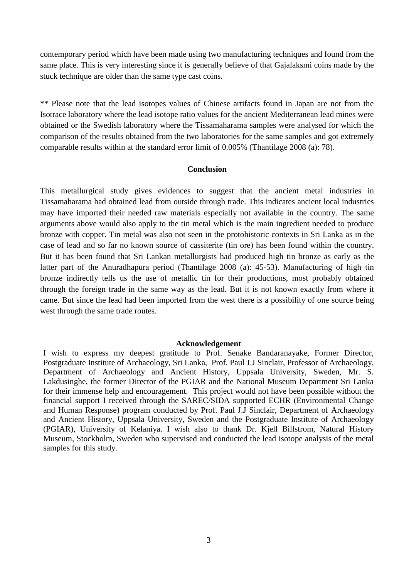contemporary period which have been made using two manufacturing techniques and found from the same place. This is very interesting since it is generally believe of that Gajalaksmi coins made by the stuck technique are older than the same type cast coins.

\*\* Please note that the lead isotopes values of Chinese artifacts found in Japan are not from the Isotrace laboratory where the lead isotope ratio values for the ancient Mediterranean lead mines were obtained or the Swedish laboratory where the Tissamaharama samples were analysed for which the comparison of the results obtained from the two laboratories for the same samples and got extremely comparable results within at the standard error limit of 0.005% (Thantilage 2008 (a): 78).

#### **Conclusion**

This metallurgical study gives evidences to suggest that the ancient metal industries in Tissamaharama had obtained lead from outside through trade. This indicates ancient local industries may have imported their needed raw materials especially not available in the country. The same arguments above would also apply to the tin metal which is the main ingredient needed to produce bronze with copper. Tin metal was also not seen in the protohistoric contexts in Sri Lanka as in the case of lead and so far no known source of cassiterite (tin ore) has been found within the country. But it has been found that Sri Lankan metallurgists had produced high tin bronze as early as the latter part of the Anuradhapura period (Thantilage 2008 (a): 45-53). Manufacturing of high tin bronze indirectly tells us the use of metallic tin for their productions, most probably obtained through the foreign trade in the same way as the lead. But it is not known exactly from where it came. But since the lead had been imported from the west there is a possibility of one source being west through the same trade routes.

#### **Acknowledgement**

I wish to express my deepest gratitude to Prof. Senake Bandaranayake, Former Director, Postgraduate Institute of Archaeology, Sri Lanka, Prof. Paul J.J Sinclair, Professor of Archaeology, Department of Archaeology and Ancient History, Uppsala University, Sweden, Mr. S. Lakdusinghe, the former Director of the PGIAR and the National Museum Department Sri Lanka for their immense help and encouragement. This project would not have been possible without the financial support I received through the SAREC/SIDA supported ECHR (Environmental Change and Human Response) program conducted by Prof. Paul J.J Sinclair, Department of Archaeology and Ancient History, Uppsala University, Sweden and the Postgraduate Institute of Archaeology (PGIAR), University of Kelaniya. I wish also to thank Dr. Kjell Billstrom, Natural History Museum, Stockholm, Sweden who supervised and conducted the lead isotope analysis of the metal samples for this study.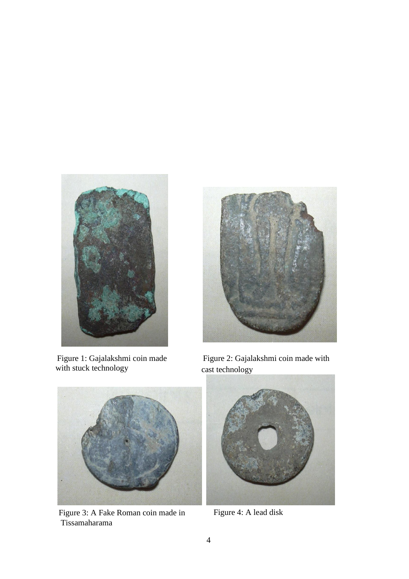

Figure 1: Gajalakshmi coin made with stuck technology



Figure 2: Gajalakshmi coin made with cast technology



Figure 3: A Fake Roman coin made in Tissamaharama



Figure 4: A lead disk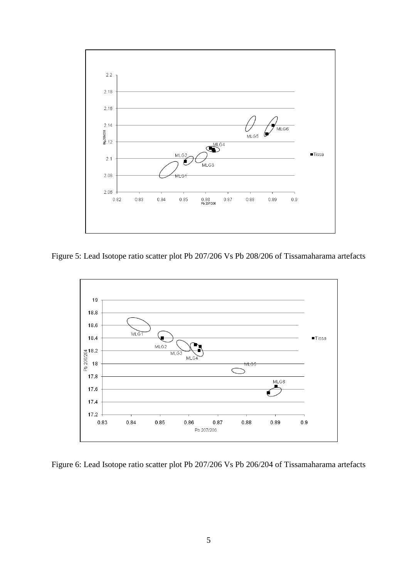

Figure 5: Lead Isotope ratio scatter plot Pb 207/206 Vs Pb 208/206 of Tissamaharama artefacts



Figure 6: Lead Isotope ratio scatter plot Pb 207/206 Vs Pb 206/204 of Tissamaharama artefacts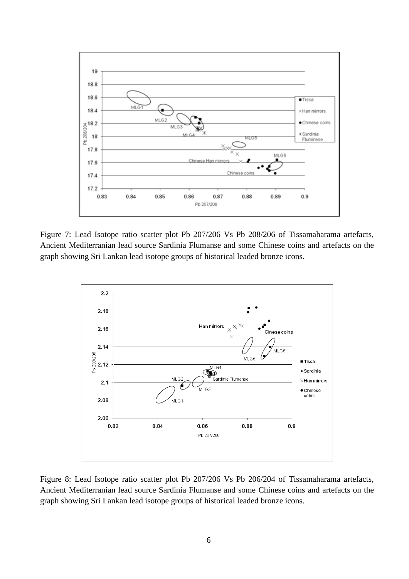

Figure 7: Lead Isotope ratio scatter plot Pb 207/206 Vs Pb 208/206 of Tissamaharama artefacts, Ancient Mediterranian lead source Sardinia Flumanse and some Chinese coins and artefacts on the graph showing Sri Lankan lead isotope groups of historical leaded bronze icons.



Figure 8: Lead Isotope ratio scatter plot Pb 207/206 Vs Pb 206/204 of Tissamaharama artefacts, Ancient Mediterranian lead source Sardinia Flumanse and some Chinese coins and artefacts on the graph showing Sri Lankan lead isotope groups of historical leaded bronze icons.